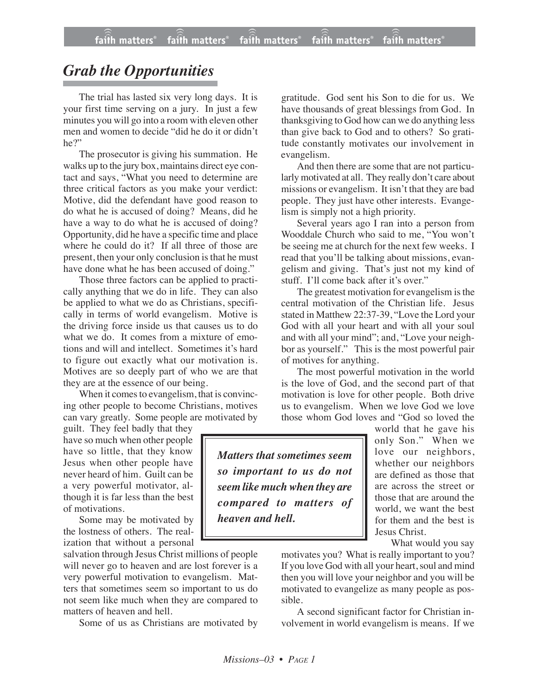## *Grab the Opportunities*

The trial has lasted six very long days. It is your first time serving on a jury. In just a few minutes you will go into a room with eleven other men and women to decide "did he do it or didn't he?"

The prosecutor is giving his summation. He walks up to the jury box, maintains direct eye contact and says, "What you need to determine are three critical factors as you make your verdict: Motive, did the defendant have good reason to do what he is accused of doing? Means, did he have a way to do what he is accused of doing? Opportunity, did he have a specific time and place where he could do it? If all three of those are present, then your only conclusion is that he must have done what he has been accused of doing."

Those three factors can be applied to practically anything that we do in life. They can also be applied to what we do as Christians, specifically in terms of world evangelism. Motive is the driving force inside us that causes us to do what we do. It comes from a mixture of emotions and will and intellect. Sometimes it's hard to figure out exactly what our motivation is. Motives are so deeply part of who we are that they are at the essence of our being.

When it comes to evangelism, that is convincing other people to become Christians, motives can vary greatly. Some people are motivated by

guilt. They feel badly that they have so much when other people have so little, that they know Jesus when other people have never heard of him. Guilt can be a very powerful motivator, although it is far less than the best of motivations.

Some may be motivated by the lostness of others. The realization that without a personal

salvation through Jesus Christ millions of people will never go to heaven and are lost forever is a very powerful motivation to evangelism. Matters that sometimes seem so important to us do not seem like much when they are compared to matters of heaven and hell.

Some of us as Christians are motivated by

gratitude. God sent his Son to die for us. We have thousands of great blessings from God. In thanksgiving to God how can we do anything less than give back to God and to others? So gratitude constantly motivates our involvement in evangelism.

And then there are some that are not particularly motivated at all. They really don't care about missions or evangelism. It isn't that they are bad people. They just have other interests. Evangelism is simply not a high priority.

Several years ago I ran into a person from Wooddale Church who said to me, "You won't be seeing me at church for the next few weeks. I read that you'll be talking about missions, evangelism and giving. That's just not my kind of stuff. I'll come back after it's over."

The greatest motivation for evangelism is the central motivation of the Christian life. Jesus stated in Matthew 22:37-39, "Love the Lord your God with all your heart and with all your soul and with all your mind"; and, "Love your neighbor as yourself." This is the most powerful pair of motives for anything.

The most powerful motivation in the world is the love of God, and the second part of that motivation is love for other people. Both drive us to evangelism. When we love God we love those whom God loves and "God so loved the

*Matters that sometimes seem so important to us do not seem like muchwhen they are compared to matters of heaven and hell.*

world that he gave his only Son." When we love our neighbors, whether our neighbors are defined as those that are across the street or those that are around the world, we want the best for them and the best is Jesus Christ.

What would you say

motivates you? What is really important to you? If you love God with all your heart, soul and mind then you will love your neighbor and you will be motivated to evangelize as many people as possible.

A second significant factor for Christian involvement in world evangelism is means. If we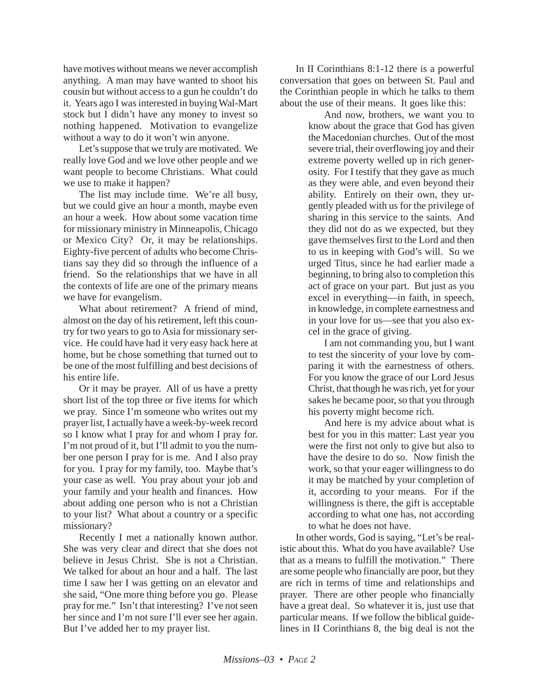have motives without means we never accomplish anything. A man may have wanted to shoot his cousin but without access to a gun he couldn't do it. Years ago I was interested in buying Wal-Mart stock but I didn't have any money to invest so nothing happened. Motivation to evangelize without a way to do it won't win anyone.

Let's suppose that we truly are motivated. We really love God and we love other people and we want people to become Christians. What could we use to make it happen?

The list may include time. We're all busy, but we could give an hour a month, maybe even an hour a week. How about some vacation time for missionary ministry in Minneapolis, Chicago or Mexico City? Or, it may be relationships. Eighty-five percent of adults who become Christians say they did so through the influence of a friend. So the relationships that we have in all the contexts of life are one of the primary means we have for evangelism.

What about retirement? A friend of mind, almost on the day of his retirement, left this country for two years to go to Asia for missionary service. He could have had it very easy back here at home, but he chose something that turned out to be one of the most fulfilling and best decisions of his entire life.

Or it may be prayer. All of us have a pretty short list of the top three or five items for which we pray. Since I'm someone who writes out my prayer list, I actually have a week-by-week record so I know what I pray for and whom I pray for. I'm not proud of it, but I'll admit to you the number one person I pray for is me. And I also pray for you. I pray for my family, too. Maybe that's your case as well. You pray about your job and your family and your health and finances. How about adding one person who is not a Christian to your list? What about a country or a specific missionary?

Recently I met a nationally known author. She was very clear and direct that she does not believe in Jesus Christ. She is not a Christian. We talked for about an hour and a half. The last time I saw her I was getting on an elevator and she said, "One more thing before you go. Please pray for me." Isn't that interesting? I've not seen her since and I'm not sure I'll ever see her again. But I've added her to my prayer list.

In II Corinthians 8:1-12 there is a powerful conversation that goes on between St. Paul and the Corinthian people in which he talks to them about the use of their means. It goes like this:

And now, brothers, we want you to know about the grace that God has given the Macedonian churches. Out of the most severe trial, their overflowing joy and their extreme poverty welled up in rich generosity. For I testify that they gave as much as they were able, and even beyond their ability. Entirely on their own, they urgently pleaded with us for the privilege of sharing in this service to the saints. And they did not do as we expected, but they gave themselves first to the Lord and then to us in keeping with God's will. So we urged Titus, since he had earlier made a beginning, to bring also to completion this act of grace on your part. But just as you excel in everything—in faith, in speech, in knowledge, in complete earnestness and in your love for us—see that you also excel in the grace of giving.

I am not commanding you, but I want to test the sincerity of your love by comparing it with the earnestness of others. For you know the grace of our Lord Jesus Christ, that though he was rich, yet for your sakes he became poor, so that you through his poverty might become rich.

And here is my advice about what is best for you in this matter: Last year you were the first not only to give but also to have the desire to do so. Now finish the work, so that your eager willingness to do it may be matched by your completion of it, according to your means. For if the willingness is there, the gift is acceptable according to what one has, not according to what he does not have.

In other words, God is saying, "Let's be realistic about this. What do you have available? Use that as a means to fulfill the motivation." There are some people who financially are poor, but they are rich in terms of time and relationships and prayer. There are other people who financially have a great deal. So whatever it is, just use that particular means. If we follow the biblical guidelines in II Corinthians 8, the big deal is not the